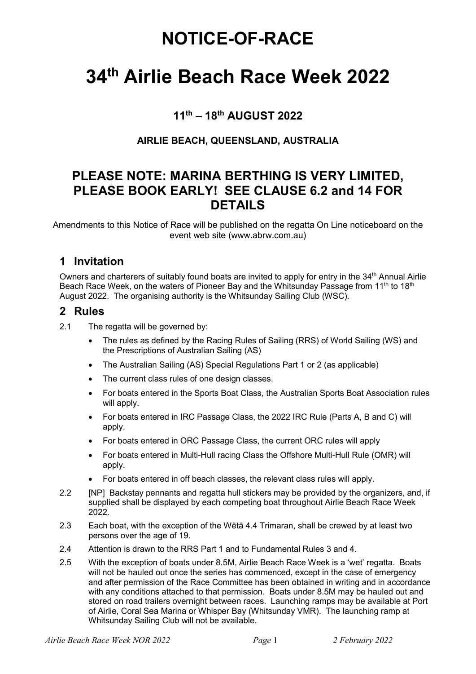## NOTICE-OF-RACE

# 34th Airlie Beach Race Week 2022

## 11th – 18th AUGUST 2022

#### AIRLIE BEACH, QUEENSLAND, AUSTRALIA

## PLEASE NOTE: MARINA BERTHING IS VERY LIMITED, PLEASE BOOK EARLY! SEE CLAUSE 6.2 and 14 FOR DETAILS

Amendments to this Notice of Race will be published on the regatta On Line noticeboard on the event web site (www.abrw.com.au)

### 1 Invitation

Owners and charterers of suitably found boats are invited to apply for entry in the 34<sup>th</sup> Annual Airlie Beach Race Week, on the waters of Pioneer Bay and the Whitsunday Passage from 11<sup>th</sup> to 18<sup>th</sup> August 2022. The organising authority is the Whitsunday Sailing Club (WSC).

#### 2 Rules

- 2.1 The regatta will be governed by:
	- The rules as defined by the Racing Rules of Sailing (RRS) of World Sailing (WS) and the Prescriptions of Australian Sailing (AS)
	- The Australian Sailing (AS) Special Regulations Part 1 or 2 (as applicable)
	- The current class rules of one design classes.
	- For boats entered in the Sports Boat Class, the Australian Sports Boat Association rules will apply.
	- For boats entered in IRC Passage Class, the 2022 IRC Rule (Parts A, B and C) will apply.
	- For boats entered in ORC Passage Class, the current ORC rules will apply
	- For boats entered in Multi-Hull racing Class the Offshore Multi-Hull Rule (OMR) will apply.
	- For boats entered in off beach classes, the relevant class rules will apply.
- 2.2 [NP] Backstay pennants and regatta hull stickers may be provided by the organizers, and, if supplied shall be displayed by each competing boat throughout Airlie Beach Race Week 2022.
- 2.3 Each boat, with the exception of the Wētā 4.4 Trimaran, shall be crewed by at least two persons over the age of 19.
- 2.4 Attention is drawn to the RRS Part 1 and to Fundamental Rules 3 and 4.
- 2.5 With the exception of boats under 8.5M, Airlie Beach Race Week is a 'wet' regatta. Boats will not be hauled out once the series has commenced, except in the case of emergency and after permission of the Race Committee has been obtained in writing and in accordance with any conditions attached to that permission. Boats under 8.5M may be hauled out and stored on road trailers overnight between races. Launching ramps may be available at Port of Airlie, Coral Sea Marina or Whisper Bay (Whitsunday VMR). The launching ramp at Whitsunday Sailing Club will not be available.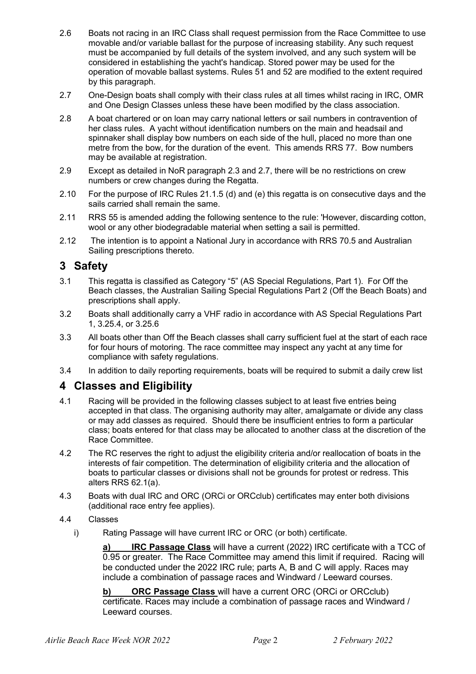- 2.6 Boats not racing in an IRC Class shall request permission from the Race Committee to use movable and/or variable ballast for the purpose of increasing stability. Any such request must be accompanied by full details of the system involved, and any such system will be considered in establishing the yacht's handicap. Stored power may be used for the operation of movable ballast systems. Rules 51 and 52 are modified to the extent required by this paragraph.
- 2.7 One-Design boats shall comply with their class rules at all times whilst racing in IRC, OMR and One Design Classes unless these have been modified by the class association.
- 2.8 A boat chartered or on loan may carry national letters or sail numbers in contravention of her class rules. A yacht without identification numbers on the main and headsail and spinnaker shall display bow numbers on each side of the hull, placed no more than one metre from the bow, for the duration of the event. This amends RRS 77. Bow numbers may be available at registration.
- 2.9 Except as detailed in NoR paragraph 2.3 and 2.7, there will be no restrictions on crew numbers or crew changes during the Regatta.
- 2.10 For the purpose of IRC Rules 21.1.5 (d) and (e) this regatta is on consecutive days and the sails carried shall remain the same.
- 2.11 RRS 55 is amended adding the following sentence to the rule: 'However, discarding cotton, wool or any other biodegradable material when setting a sail is permitted.
- 2.12 The intention is to appoint a National Jury in accordance with RRS 70.5 and Australian Sailing prescriptions thereto.

## 3 Safety

- 3.1 This regatta is classified as Category "5" (AS Special Regulations, Part 1). For Off the Beach classes, the Australian Sailing Special Regulations Part 2 (Off the Beach Boats) and prescriptions shall apply.
- 3.2 Boats shall additionally carry a VHF radio in accordance with AS Special Regulations Part 1, 3.25.4, or 3.25.6
- 3.3 All boats other than Off the Beach classes shall carry sufficient fuel at the start of each race for four hours of motoring. The race committee may inspect any yacht at any time for compliance with safety regulations.
- 3.4 In addition to daily reporting requirements, boats will be required to submit a daily crew list

## 4 Classes and Eligibility

- 4.1 Racing will be provided in the following classes subject to at least five entries being accepted in that class. The organising authority may alter, amalgamate or divide any class or may add classes as required. Should there be insufficient entries to form a particular class; boats entered for that class may be allocated to another class at the discretion of the Race Committee.
- 4.2 The RC reserves the right to adjust the eligibility criteria and/or reallocation of boats in the interests of fair competition. The determination of eligibility criteria and the allocation of boats to particular classes or divisions shall not be grounds for protest or redress. This alters RRS 62.1(a).
- 4.3 Boats with dual IRC and ORC (ORCi or ORCclub) certificates may enter both divisions (additional race entry fee applies).
- 4.4 Classes
	- i) Rating Passage will have current IRC or ORC (or both) certificate.

IRC Passage Class will have a current (2022) IRC certificate with a TCC of 0.95 or greater. The Race Committee may amend this limit if required. Racing will be conducted under the 2022 IRC rule; parts A, B and C will apply. Races may include a combination of passage races and Windward / Leeward courses.

b) ORC Passage Class will have a current ORC (ORCi or ORCclub) certificate. Races may include a combination of passage races and Windward / Leeward courses.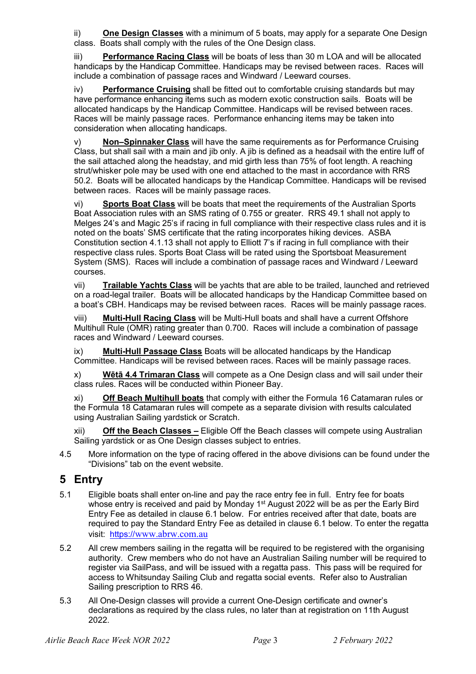ii) One Design Classes with a minimum of 5 boats, may apply for a separate One Design class. Boats shall comply with the rules of the One Design class.

iii) Performance Racing Class will be boats of less than 30 m LOA and will be allocated handicaps by the Handicap Committee. Handicaps may be revised between races. Races will include a combination of passage races and Windward / Leeward courses.

**Performance Cruising** shall be fitted out to comfortable cruising standards but may have performance enhancing items such as modern exotic construction sails. Boats will be allocated handicaps by the Handicap Committee. Handicaps will be revised between races. Races will be mainly passage races. Performance enhancing items may be taken into consideration when allocating handicaps.

v) Non–Spinnaker Class will have the same requirements as for Performance Cruising Class, but shall sail with a main and jib only. A jib is defined as a headsail with the entire luff of the sail attached along the headstay, and mid girth less than 75% of foot length. A reaching strut/whisker pole may be used with one end attached to the mast in accordance with RRS 50.2. Boats will be allocated handicaps by the Handicap Committee. Handicaps will be revised between races. Races will be mainly passage races.

vi) Sports Boat Class will be boats that meet the requirements of the Australian Sports Boat Association rules with an SMS rating of 0.755 or greater. RRS 49.1 shall not apply to Melges 24's and Magic 25's if racing in full compliance with their respective class rules and it is noted on the boats' SMS certificate that the rating incorporates hiking devices. ASBA Constitution section 4.1.13 shall not apply to Elliott 7's if racing in full compliance with their respective class rules. Sports Boat Class will be rated using the Sportsboat Measurement System (SMS). Races will include a combination of passage races and Windward / Leeward courses.

vii) Trailable Yachts Class will be yachts that are able to be trailed, launched and retrieved on a road-legal trailer. Boats will be allocated handicaps by the Handicap Committee based on a boat's CBH. Handicaps may be revised between races. Races will be mainly passage races.

viii) Multi-Hull Racing Class will be Multi-Hull boats and shall have a current Offshore Multihull Rule (OMR) rating greater than 0.700. Races will include a combination of passage races and Windward / Leeward courses.

ix) Multi-Hull Passage Class Boats will be allocated handicaps by the Handicap Committee. Handicaps will be revised between races. Races will be mainly passage races.

x) Wētā 4.4 Trimaran Class will compete as a One Design class and will sail under their class rules. Races will be conducted within Pioneer Bay.

xi) Off Beach Multihull boats that comply with either the Formula 16 Catamaran rules or the Formula 18 Catamaran rules will compete as a separate division with results calculated using Australian Sailing yardstick or Scratch.

xii) Off the Beach Classes – Eligible Off the Beach classes will compete using Australian Sailing yardstick or as One Design classes subject to entries.

4.5 More information on the type of racing offered in the above divisions can be found under the "Divisions" tab on the event website.

## 5 Entry

- 5.1 Eligible boats shall enter on-line and pay the race entry fee in full. Entry fee for boats whose entry is received and paid by Monday 1<sup>st</sup> August 2022 will be as per the Early Bird Entry Fee as detailed in clause 6.1 below. For entries received after that date, boats are required to pay the Standard Entry Fee as detailed in clause 6.1 below. To enter the regatta visit: https://www.abrw.com.au
- 5.2 All crew members sailing in the regatta will be required to be registered with the organising authority. Crew members who do not have an Australian Sailing number will be required to register via SailPass, and will be issued with a regatta pass. This pass will be required for access to Whitsunday Sailing Club and regatta social events. Refer also to Australian Sailing prescription to RRS 46.
- 5.3 All One-Design classes will provide a current One-Design certificate and owner's declarations as required by the class rules, no later than at registration on 11th August 2022.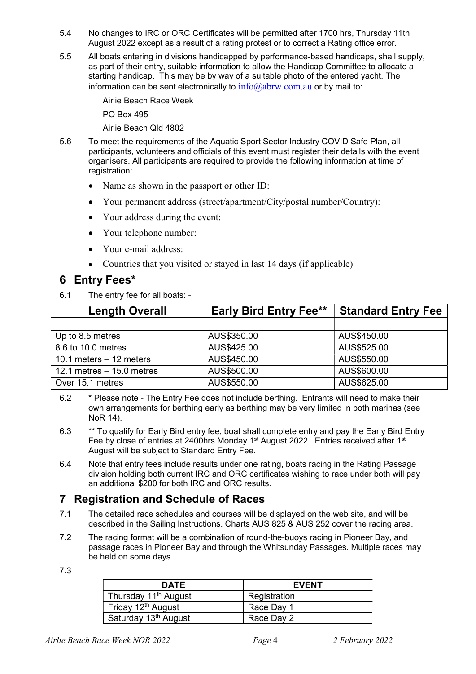- 5.4 No changes to IRC or ORC Certificates will be permitted after 1700 hrs, Thursday 11th August 2022 except as a result of a rating protest or to correct a Rating office error.
- 5.5 All boats entering in divisions handicapped by performance-based handicaps, shall supply, as part of their entry, suitable information to allow the Handicap Committee to allocate a starting handicap. This may be by way of a suitable photo of the entered yacht. The information can be sent electronically to  $info@abrw.com.au$  or by mail to:

Airlie Beach Race Week PO Box 495

Airlie Beach Qld 4802

- 5.6 To meet the requirements of the Aquatic Sport Sector Industry COVID Safe Plan, all participants, volunteers and officials of this event must register their details with the event organisers. All participants are required to provide the following information at time of registration:
	- Name as shown in the passport or other ID:
	- Your permanent address (street/apartment/City/postal number/Country):
	- Your address during the event:
	- Your telephone number:
	- Your e-mail address:
	- Countries that you visited or stayed in last 14 days (if applicable)

### 6 Entry Fees\*

6.1 The entry fee for all boats: -

| <b>Length Overall</b>       | <b>Early Bird Entry Fee**</b> | <b>Standard Entry Fee</b> |
|-----------------------------|-------------------------------|---------------------------|
|                             |                               |                           |
| Up to 8.5 metres            | AUS\$350.00                   | AUS\$450.00               |
| 8.6 to 10.0 metres          | AUS\$425.00                   | AUS\$525.00               |
| 10.1 meters $-12$ meters    | AUS\$450.00                   | AUS\$550.00               |
| 12.1 metres $-$ 15.0 metres | AUS\$500.00                   | AUS\$600.00               |
| Over 15.1 metres            | AUS\$550.00                   | AUS\$625.00               |

6.2 \* Please note - The Entry Fee does not include berthing. Entrants will need to make their own arrangements for berthing early as berthing may be very limited in both marinas (see NoR 14).

- 6.3 \*\* To qualify for Early Bird entry fee, boat shall complete entry and pay the Early Bird Entry Fee by close of entries at 2400hrs Monday 1<sup>st</sup> August 2022. Entries received after 1<sup>st</sup> August will be subject to Standard Entry Fee.
- 6.4 Note that entry fees include results under one rating, boats racing in the Rating Passage division holding both current IRC and ORC certificates wishing to race under both will pay an additional \$200 for both IRC and ORC results.

## 7 Registration and Schedule of Races

- 7.1 The detailed race schedules and courses will be displayed on the web site, and will be described in the Sailing Instructions. Charts AUS 825 & AUS 252 cover the racing area.
- 7.2 The racing format will be a combination of round-the-buoys racing in Pioneer Bay, and passage races in Pioneer Bay and through the Whitsunday Passages. Multiple races may be held on some days.
- 7.3

| <b>DATE</b>                      | <b>EVENT</b> |
|----------------------------------|--------------|
| Thursday 11 <sup>th</sup> August | Registration |
| Friday 12 <sup>th</sup> August   | Race Day 1   |
| Saturday 13 <sup>th</sup> August | Race Day 2   |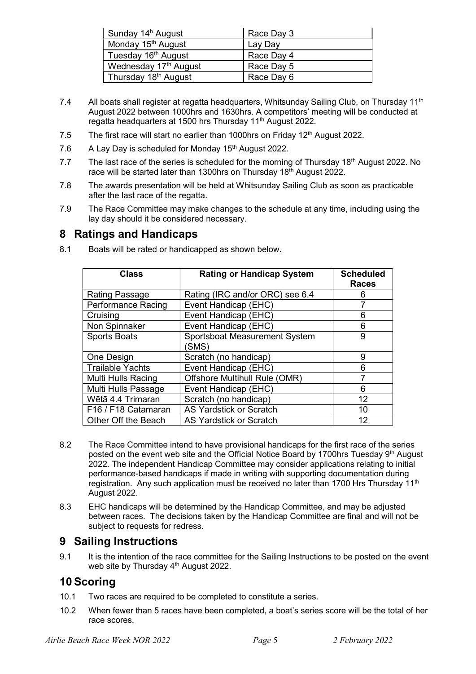| Sunday 14 <sup>h</sup> August     | Race Day 3 |
|-----------------------------------|------------|
| Monday 15 <sup>th</sup> August    | Lay Day    |
| Tuesday 16 <sup>th</sup> August   | Race Day 4 |
| Wednesday 17 <sup>th</sup> August | Race Day 5 |
| Thursday 18 <sup>th</sup> August  | Race Day 6 |

- 7.4 All boats shall register at regatta headquarters, Whitsunday Sailing Club, on Thursday 11<sup>th</sup> August 2022 between 1000hrs and 1630hrs. A competitors' meeting will be conducted at regatta headquarters at 1500 hrs Thursday 11<sup>th</sup> August 2022.
- 7.5 The first race will start no earlier than 1000hrs on Friday 12<sup>th</sup> August 2022.
- 7.6 A Lay Day is scheduled for Monday 15<sup>th</sup> August 2022.
- 7.7 The last race of the series is scheduled for the morning of Thursday 18<sup>th</sup> August 2022. No race will be started later than 1300hrs on Thursday  $18<sup>th</sup>$  August 2022.
- 7.8 The awards presentation will be held at Whitsunday Sailing Club as soon as practicable after the last race of the regatta.
- 7.9 The Race Committee may make changes to the schedule at any time, including using the lay day should it be considered necessary.

#### 8 Ratings and Handicaps

| <b>Class</b>              | <b>Rating or Handicap System</b>       | <b>Scheduled</b><br><b>Races</b> |
|---------------------------|----------------------------------------|----------------------------------|
| Rating Passage            | Rating (IRC and/or ORC) see 6.4        | 6                                |
| <b>Performance Racing</b> | Event Handicap (EHC)                   |                                  |
| Cruising                  | Event Handicap (EHC)                   | 6                                |
| Non Spinnaker             | Event Handicap (EHC)                   | 6                                |
| <b>Sports Boats</b>       | Sportsboat Measurement System<br>(SMS) | 9                                |
| One Design                | Scratch (no handicap)                  | 9                                |
| <b>Trailable Yachts</b>   | Event Handicap (EHC)                   | 6                                |
| <b>Multi Hulls Racing</b> | Offshore Multihull Rule (OMR)          | 7                                |
| Multi Hulls Passage       | Event Handicap (EHC)                   | 6                                |
| Wētā 4.4 Trimaran         | Scratch (no handicap)                  | 12                               |
| F16 / F18 Catamaran       | <b>AS Yardstick or Scratch</b>         | 10                               |
| Other Off the Beach       | <b>AS Yardstick or Scratch</b>         | 12                               |

8.1 Boats will be rated or handicapped as shown below.

- 8.2 The Race Committee intend to have provisional handicaps for the first race of the series posted on the event web site and the Official Notice Board by 1700hrs Tuesday 9<sup>th</sup> August 2022. The independent Handicap Committee may consider applications relating to initial performance-based handicaps if made in writing with supporting documentation during registration. Any such application must be received no later than 1700 Hrs Thursday 11<sup>th</sup> August 2022.
- 8.3 EHC handicaps will be determined by the Handicap Committee, and may be adjusted between races. The decisions taken by the Handicap Committee are final and will not be subject to requests for redress.

#### 9 Sailing Instructions

9.1 It is the intention of the race committee for the Sailing Instructions to be posted on the event web site by Thursday 4<sup>th</sup> August 2022.

## 10 Scoring

- 10.1 Two races are required to be completed to constitute a series.
- 10.2 When fewer than 5 races have been completed, a boat's series score will be the total of her race scores.